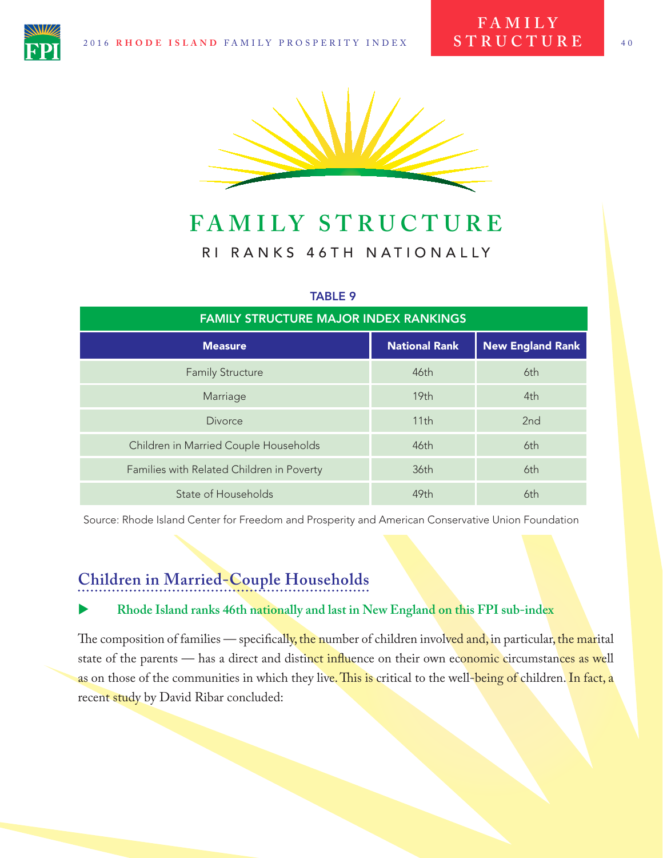

# **FAMILY STRUCTURE** RI RANKS 46TH NATIONALLY

#### TABLE 9

| <b>FAMILY STRUCTURE MAJOR INDEX RANKINGS</b> |                      |                         |
|----------------------------------------------|----------------------|-------------------------|
| <b>Measure</b>                               | <b>National Rank</b> | <b>New England Rank</b> |
| <b>Family Structure</b>                      | 46th                 | 6th                     |
| Marriage                                     | 19 <sub>th</sub>     | 4th                     |
| <b>Divorce</b>                               | 11th                 | 2 <sub>nd</sub>         |
| Children in Married Couple Households        | 46th                 | 6th                     |
| Families with Related Children in Poverty    | 36th                 | 6th                     |
| State of Households                          | 49th                 | 6th                     |

Source: Rhode Island Center for Freedom and Prosperity and American Conservative Union Foundation

## **Children in Married-Couple Households**

#### X **Rhode Island ranks 46th nationally and last in New England on this FPI sub-index**

The composition of families — specifically, the number of children involved and, in particular, the marital state of the parents — has a direct and distinct influence on their own economic circumstances as well as on those of the communities in which they live. This is critical to the well-being of children. In fact, a recent study by David Ribar concluded: